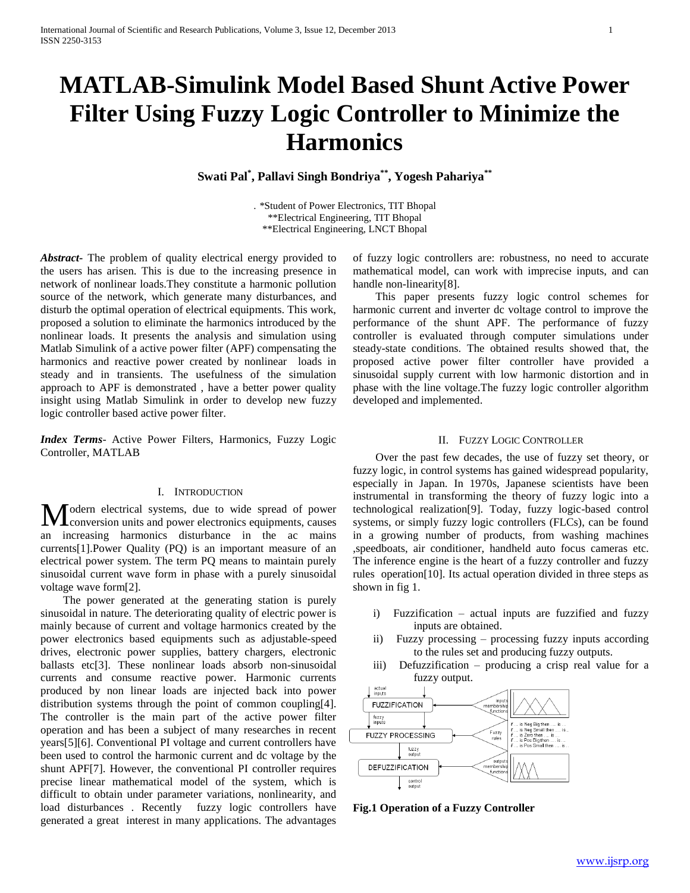# **MATLAB-Simulink Model Based Shunt Active Power Filter Using Fuzzy Logic Controller to Minimize the Harmonics**

**Swati Pal\* , Pallavi Singh Bondriya\*\* , Yogesh Pahariya\*\***

. \*Student of Power Electronics, TIT Bhopal \*\*Electrical Engineering, TIT Bhopal \*\*Electrical Engineering, LNCT Bhopal

*Abstract***-** The problem of quality electrical energy provided to the users has arisen. This is due to the increasing presence in network of nonlinear loads.They constitute a harmonic pollution source of the network, which generate many disturbances, and disturb the optimal operation of electrical equipments. This work, proposed a solution to eliminate the harmonics introduced by the nonlinear loads. It presents the analysis and simulation using Matlab Simulink of a active power filter (APF) compensating the harmonics and reactive power created by nonlinear loads in steady and in transients. The usefulness of the simulation approach to APF is demonstrated , have a better power quality insight using Matlab Simulink in order to develop new fuzzy logic controller based active power filter.

*Index Terms*- Active Power Filters, Harmonics, Fuzzy Logic Controller, MATLAB

# I. INTRODUCTION

odern electrical systems, due to wide spread of power Modern electrical systems, due to wide spread of power conversion units and power electronics equipments, causes an increasing harmonics disturbance in the ac mains currents[1].Power Quality (PQ) is an important measure of an electrical power system. The term PQ means to maintain purely sinusoidal current wave form in phase with a purely sinusoidal voltage wave form[2].

 The power generated at the generating station is purely sinusoidal in nature. The deteriorating quality of electric power is mainly because of current and voltage harmonics created by the power electronics based equipments such as adjustable-speed drives, electronic power supplies, battery chargers, electronic ballasts etc[3]. These nonlinear loads absorb non-sinusoidal currents and consume reactive power. Harmonic currents produced by non linear loads are injected back into power distribution systems through the point of common coupling[4]. The controller is the main part of the active power filter operation and has been a subject of many researches in recent years[5][6]. Conventional PI voltage and current controllers have been used to control the harmonic current and dc voltage by the shunt APF[7]. However, the conventional PI controller requires precise linear mathematical model of the system, which is difficult to obtain under parameter variations, nonlinearity, and load disturbances . Recently fuzzy logic controllers have generated a great interest in many applications. The advantages

of fuzzy logic controllers are: robustness, no need to accurate mathematical model, can work with imprecise inputs, and can handle non-linearity[8].

 This paper presents fuzzy logic control schemes for harmonic current and inverter dc voltage control to improve the performance of the shunt APF. The performance of fuzzy controller is evaluated through computer simulations under steady-state conditions. The obtained results showed that, the proposed active power filter controller have provided a sinusoidal supply current with low harmonic distortion and in phase with the line voltage.The fuzzy logic controller algorithm developed and implemented.

## II. FUZZY LOGIC CONTROLLER

 Over the past few decades, the use of fuzzy set theory, or fuzzy logic, in control systems has gained widespread popularity, especially in Japan. In 1970s, Japanese scientists have been instrumental in transforming the theory of fuzzy logic into a technological realization[9]. Today, fuzzy logic-based control systems, or simply fuzzy logic controllers (FLCs), can be found in a growing number of products, from washing machines ,speedboats, air conditioner, handheld auto focus cameras etc. The inference engine is the heart of a fuzzy controller and fuzzy rules operation[10]. Its actual operation divided in three steps as shown in fig 1.

- i) Fuzzification actual inputs are fuzzified and fuzzy inputs are obtained.
- ii) Fuzzy processing processing fuzzy inputs according to the rules set and producing fuzzy outputs.
- iii) Defuzzification producing a crisp real value for a fuzzy output.



**Fig.1 Operation of a Fuzzy Controller**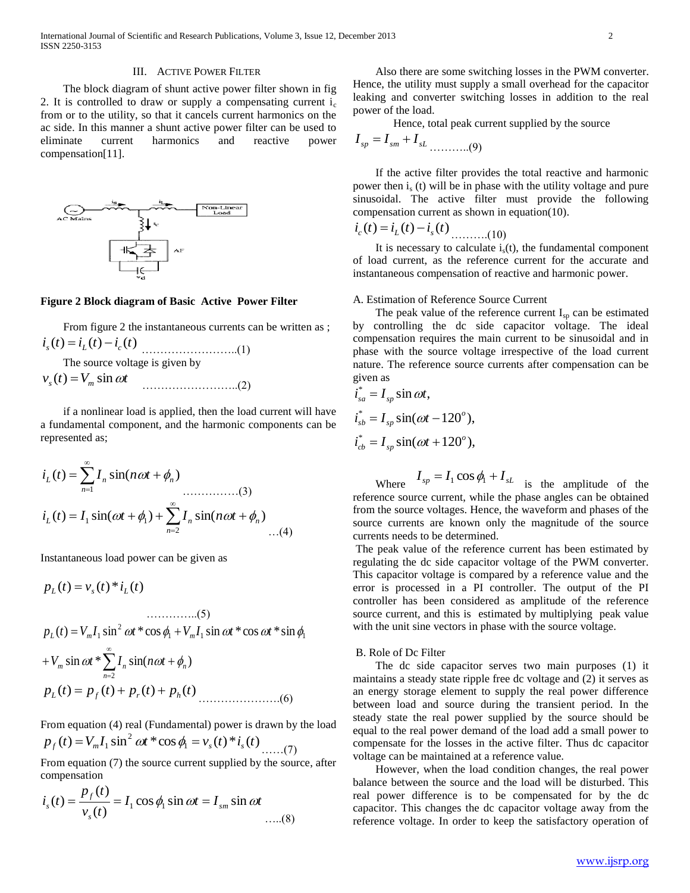### III. ACTIVE POWER FILTER

 The block diagram of shunt active power filter shown in fig 2. It is controlled to draw or supply a compensating current  $i_c$ from or to the utility, so that it cancels current harmonics on the ac side. In this manner a shunt active power filter can be used to eliminate current harmonics and reactive power compensation[11].



#### **Figure 2 Block diagram of Basic Active Power Filter**

 From figure 2 the instantaneous currents can be written as ; *i* (*t*) *i* (*t*) *i* (*t*) *s <sup>L</sup> <sup>c</sup>* ……………………..(1)

The source voltage is given by

$$
v_s(t) = V_m \sin \omega t \tag{2}
$$

 if a nonlinear load is applied, then the load current will have a fundamental component, and the harmonic components can be represented as;

$$
i_L(t) = \sum_{n=1}^{\infty} I_n \sin(n\omega t + \phi_n)
$$
  
\n
$$
i_L(t) = I_1 \sin(\omega t + \phi_1) + \sum_{n=2}^{\infty} I_n \sin(n\omega t + \phi_n)
$$
  
\n...(4)

Instantaneous load power can be given as

$$
p_L(t) = v_s(t) * i_L(t)
$$

$$
p_L(t) = V_m I_1 \sin^2 \omega t * \cos \phi_1 + V_m I_1 \sin \omega t * \cos \omega t * \sin \phi_1
$$

+
$$
V_m \sin \omega t
$$
 \*  $\sum_{n=2}^{\infty} I_n \sin(n\omega t + \phi_n)$   
 $p_L(t) = p_f(t) + p_r(t) + p_h(t)$ ........(6)

From equation (4) real (Fundamental) power is drawn by the load  $(t) = V_m I_1 \sin^2 \omega t * \cos \phi_1 = v_s(t) * i_s(t)$  $p_f(t) = V_m I_1 \sin^2 \omega t \cdot \cos \phi_1 = v_s(t) \cdot i_s(t) \dots (7)$ 

From equation (7) the source current supplied by the source, after compensation

$$
i_s(t) = \frac{p_f(t)}{v_s(t)} = I_1 \cos \phi_1 \sin \omega t = I_{sm} \sin \omega t
$$
...(8)

 Also there are some switching losses in the PWM converter. Hence, the utility must supply a small overhead for the capacitor leaking and converter switching losses in addition to the real power of the load.

Hence, total peak current supplied by the source

$$
I_{sp} = I_{sm} + I_{sL} \dots \dots \dots (9)
$$

 If the active filter provides the total reactive and harmonic power then  $i<sub>s</sub>$  (t) will be in phase with the utility voltage and pure sinusoidal. The active filter must provide the following compensation current as shown in equation(10).

 $i_c(t) = i_L(t) - i_s(t)$  ..........(10)

It is necessary to calculate  $i<sub>s</sub>(t)$ , the fundamental component of load current, as the reference current for the accurate and instantaneous compensation of reactive and harmonic power.

#### A. Estimation of Reference Source Current

The peak value of the reference current  $I_{sp}$  can be estimated by controlling the dc side capacitor voltage. The ideal compensation requires the main current to be sinusoidal and in phase with the source voltage irrespective of the load current nature. The reference source currents after compensation can be given as

$$
\begin{aligned}\ni_{sa}^* &= I_{sp} \sin \omega t, \\
i_{sb}^* &= I_{sp} \sin(\omega t - 120^\circ), \\
i_{cb}^* &= I_{sp} \sin(\omega t + 120^\circ),\n\end{aligned}
$$

Where  $I_{sp} = I_1 \cos \phi_1 + I_{sL}$  is the amplitude of the reference source current, while the phase angles can be obtained from the source voltages. Hence, the waveform and phases of the source currents are known only the magnitude of the source currents needs to be determined.

The peak value of the reference current has been estimated by regulating the dc side capacitor voltage of the PWM converter. This capacitor voltage is compared by a reference value and the error is processed in a PI controller. The output of the PI controller has been considered as amplitude of the reference source current, and this is estimated by multiplying peak value with the unit sine vectors in phase with the source voltage.

#### B. Role of Dc Filter

 The dc side capacitor serves two main purposes (1) it maintains a steady state ripple free dc voltage and (2) it serves as an energy storage element to supply the real power difference between load and source during the transient period. In the steady state the real power supplied by the source should be equal to the real power demand of the load add a small power to compensate for the losses in the active filter. Thus dc capacitor voltage can be maintained at a reference value.

 However, when the load condition changes, the real power balance between the source and the load will be disturbed. This real power difference is to be compensated for by the dc capacitor. This changes the dc capacitor voltage away from the reference voltage. In order to keep the satisfactory operation of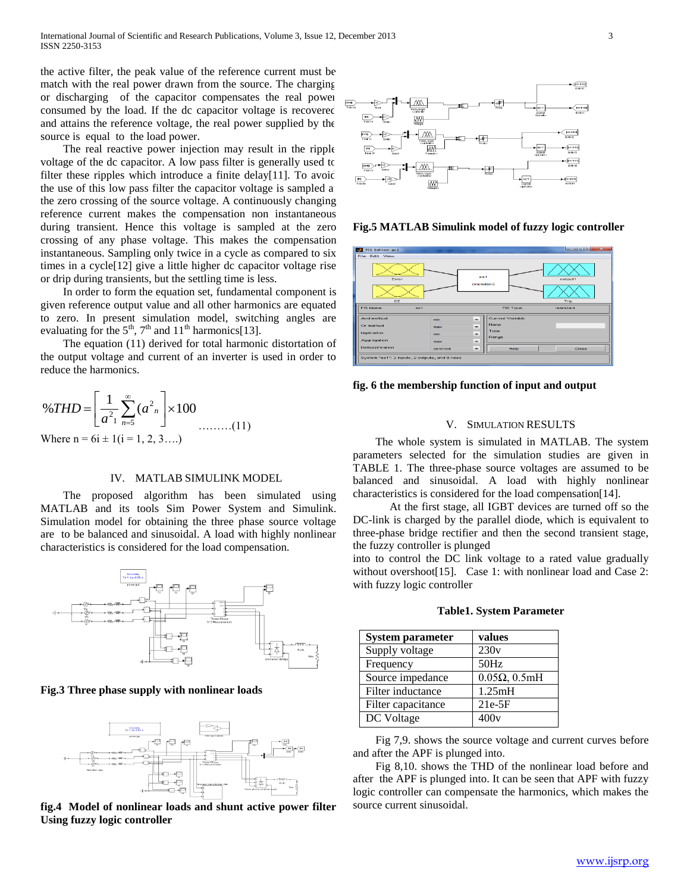the active filter, the peak value of the reference current must be match with the real power drawn from the source. The charging or discharging of the capacitor compensates the real power consumed by the load. If the dc capacitor voltage is recovered and attains the reference voltage, the real power supplied by the source is equal to the load power.

 The real reactive power injection may result in the ripple voltage of the dc capacitor. A low pass filter is generally used to filter these ripples which introduce a finite delay[11]. To avoid the use of this low pass filter the capacitor voltage is sampled a the zero crossing of the source voltage. A continuously changing reference current makes the compensation non instantaneous during transient. Hence this voltage is sampled at the zero crossing of any phase voltage. This makes the compensation instantaneous. Sampling only twice in a cycle as compared to six times in a cycle[12] give a little higher dc capacitor voltage rise or drip during transients, but the settling time is less.

 In order to form the equation set, fundamental component is given reference output value and all other harmonics are equated to zero. In present simulation model, switching angles are evaluating for the  $5<sup>th</sup>$ ,  $7<sup>th</sup>$  and  $11<sup>th</sup>$  harmonics[13].

 The equation (11) derived for total harmonic distortation of the output voltage and current of an inverter is used in order to reduce the harmonics.

$$
\%THD = \left[\frac{1}{a^2} \sum_{n=5}^{\infty} (a^2 n) \times 100 \dots \dots (11) \right]
$$
  
Where n = 6i \pm 1(i = 1, 2, 3...)

### IV. MATLAB SIMULINK MODEL

 The proposed algorithm has been simulated using MATLAB and its tools Sim Power System and Simulink. Simulation model for obtaining the three phase source voltage are to be balanced and sinusoidal. A load with highly nonlinear characteristics is considered for the load compensation.



#### **Fig.3 Three phase supply with nonlinear loads**



**fig.4 Model of nonlinear loads and shunt active power filter Using fuzzy logic controller**



**Fig.5 MATLAB Simulink model of fuzzy logic controller**

| FIS Editor: as1<br><b>DOM:</b>                  |          |                          |                  | $\begin{array}{ c c c c c c c c c } \hline \multicolumn{1}{ c }{\mathbf{1}} & \multicolumn{1}{ c }{\mathbf{2}} & \multicolumn{1}{ c }{\mathbf{3}} & \multicolumn{1}{ c }{\mathbf{4}} & \multicolumn{1}{ c }{\mathbf{5}} & \multicolumn{1}{ c }{\mathbf{6}} & \multicolumn{1}{ c }{\mathbf{7}} & \multicolumn{1}{ c }{\mathbf{8}} & \multicolumn{1}{ c }{\mathbf{9}} & \multicolumn{1}{ c }{\mathbf{1}} & \multicolumn{1}{ c }{\$ |
|-------------------------------------------------|----------|--------------------------|------------------|----------------------------------------------------------------------------------------------------------------------------------------------------------------------------------------------------------------------------------------------------------------------------------------------------------------------------------------------------------------------------------------------------------------------------------|
| <b>File Edit View</b>                           |          |                          |                  |                                                                                                                                                                                                                                                                                                                                                                                                                                  |
| Error                                           |          | 881                      |                  | output1                                                                                                                                                                                                                                                                                                                                                                                                                          |
| CE                                              |          | (mamdani)                |                  | Trip                                                                                                                                                                                                                                                                                                                                                                                                                             |
| FIS Name:<br>az1                                |          |                          | <b>FIS Type:</b> | mamdani                                                                                                                                                                                                                                                                                                                                                                                                                          |
| And method                                      | min      | $\overline{\phantom{0}}$ | Current Variable |                                                                                                                                                                                                                                                                                                                                                                                                                                  |
| Or method                                       | max      | ۰                        | Name             |                                                                                                                                                                                                                                                                                                                                                                                                                                  |
| <b>Implication</b>                              | min      | ۰.                       | Type             |                                                                                                                                                                                                                                                                                                                                                                                                                                  |
| Aggregation                                     | max      | ۰                        | Range            |                                                                                                                                                                                                                                                                                                                                                                                                                                  |
| Defuzzification                                 | centroid | ۰                        | Help             | Close                                                                                                                                                                                                                                                                                                                                                                                                                            |
| System "as1": 2 inputs, 2 outputs, and 9 rules. |          |                          |                  |                                                                                                                                                                                                                                                                                                                                                                                                                                  |

**fig. 6 the membership function of input and output**

#### V. SIMULATION RESULTS

 The whole system is simulated in MATLAB. The system parameters selected for the simulation studies are given in TABLE 1. The three-phase source voltages are assumed to be balanced and sinusoidal. A load with highly nonlinear characteristics is considered for the load compensation[14].

 At the first stage, all IGBT devices are turned off so the DC-link is charged by the parallel diode, which is equivalent to three-phase bridge rectifier and then the second transient stage, the fuzzy controller is plunged

into to control the DC link voltage to a rated value gradually without overshoot[15]. Case 1: with nonlinear load and Case 2: with fuzzy logic controller

| <b>System parameter</b> | values                 |
|-------------------------|------------------------|
| Supply voltage          | 230v                   |
| Frequency               | 50Hz                   |
| Source impedance        | $0.05\Omega$ , $0.5mH$ |
| Filter inductance       | 1.25mH                 |
| Filter capacitance      | $21e-5F$               |
| DC Voltage              | 400v                   |

**Table1. System Parameter**

 Fig 7,9. shows the source voltage and current curves before and after the APF is plunged into.

 Fig 8,10. shows the THD of the nonlinear load before and after the APF is plunged into. It can be seen that APF with fuzzy logic controller can compensate the harmonics, which makes the source current sinusoidal.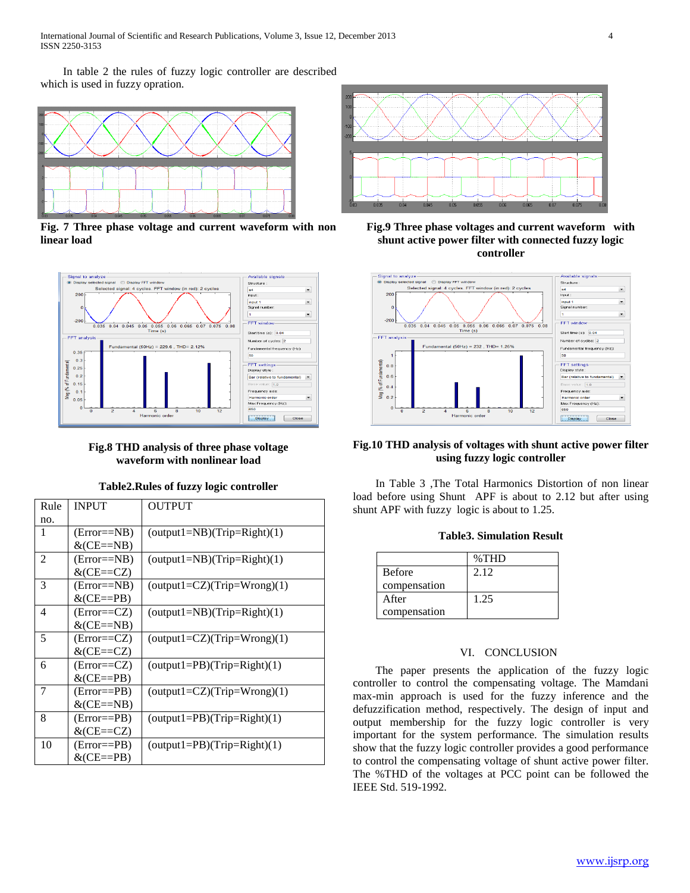In table 2 the rules of fuzzy logic controller are described which is used in fuzzy opration.



**Fig. 7 Three phase voltage and current waveform with non linear load**



**Fig.8 THD analysis of three phase voltage waveform with nonlinear load**

| Table2.Rules of fuzzy logic controller |  |  |
|----------------------------------------|--|--|
|                                        |  |  |

| Rule | <b>INPUT</b>      | <b>OUTPUT</b>                 |
|------|-------------------|-------------------------------|
| no.  |                   |                               |
| 1    | $(Error=\neg NB)$ | $(output1=NB)(Trip=Right)(1)$ |
|      | $&$ (CE==NB)      |                               |
| 2    | $(Error=\neg NB)$ | $(output1=NB)(Trip=Right)(1)$ |
|      | $&$ (CE==CZ)      |                               |
| 3    | $(Error=\neg NB)$ | $(output1=CZ)(Trip=Wrong)(1)$ |
|      | $&$ (CE==PB)      |                               |
| 4    | $(Error = CZ)$    | $(output1=NB)(Trip=Right)(1)$ |
|      | $&$ (CE==NB)      |                               |
| 5    | $(Error = CZ)$    | $(output1=CZ)(Trip=Wrong)(1)$ |
|      | $&$ (CE==CZ)      |                               |
| 6    | $(Error = CZ)$    | $(output1=PB)(Trip=Right)(1)$ |
|      | $&$ (CE==PB)      |                               |
| 7    | $(Error = PB)$    | $(output1=CZ)(Trip=Wrong)(1)$ |
|      | $&$ (CE==NB)      |                               |
| 8    | $(Error = PB)$    | $(output1=PB)(Trip=Right)(1)$ |
|      | $&$ (CE==CZ)      |                               |
| 10   | $(Error = PB)$    | $(output1=PB)(Trip=Right)(1)$ |
|      | $&$ (CE==PB)      |                               |



**Fig.9 Three phase voltages and current waveform with shunt active power filter with connected fuzzy logic controller**



# **Fig.10 THD analysis of voltages with shunt active power filter using fuzzy logic controller**

 In Table 3 ,The Total Harmonics Distortion of non linear load before using Shunt APF is about to 2.12 but after using shunt APF with fuzzy logic is about to 1.25.

|  | <b>Table3. Simulation Result</b> |  |
|--|----------------------------------|--|
|--|----------------------------------|--|

|               | $\%THD$ |
|---------------|---------|
| <b>Before</b> | 2.12    |
| compensation  |         |
| After         | 1.25    |
| compensation  |         |

# VI. CONCLUSION

 The paper presents the application of the fuzzy logic controller to control the compensating voltage. The Mamdani max-min approach is used for the fuzzy inference and the defuzzification method, respectively. The design of input and output membership for the fuzzy logic controller is very important for the system performance. The simulation results show that the fuzzy logic controller provides a good performance to control the compensating voltage of shunt active power filter. The %THD of the voltages at PCC point can be followed the IEEE Std. 519-1992.